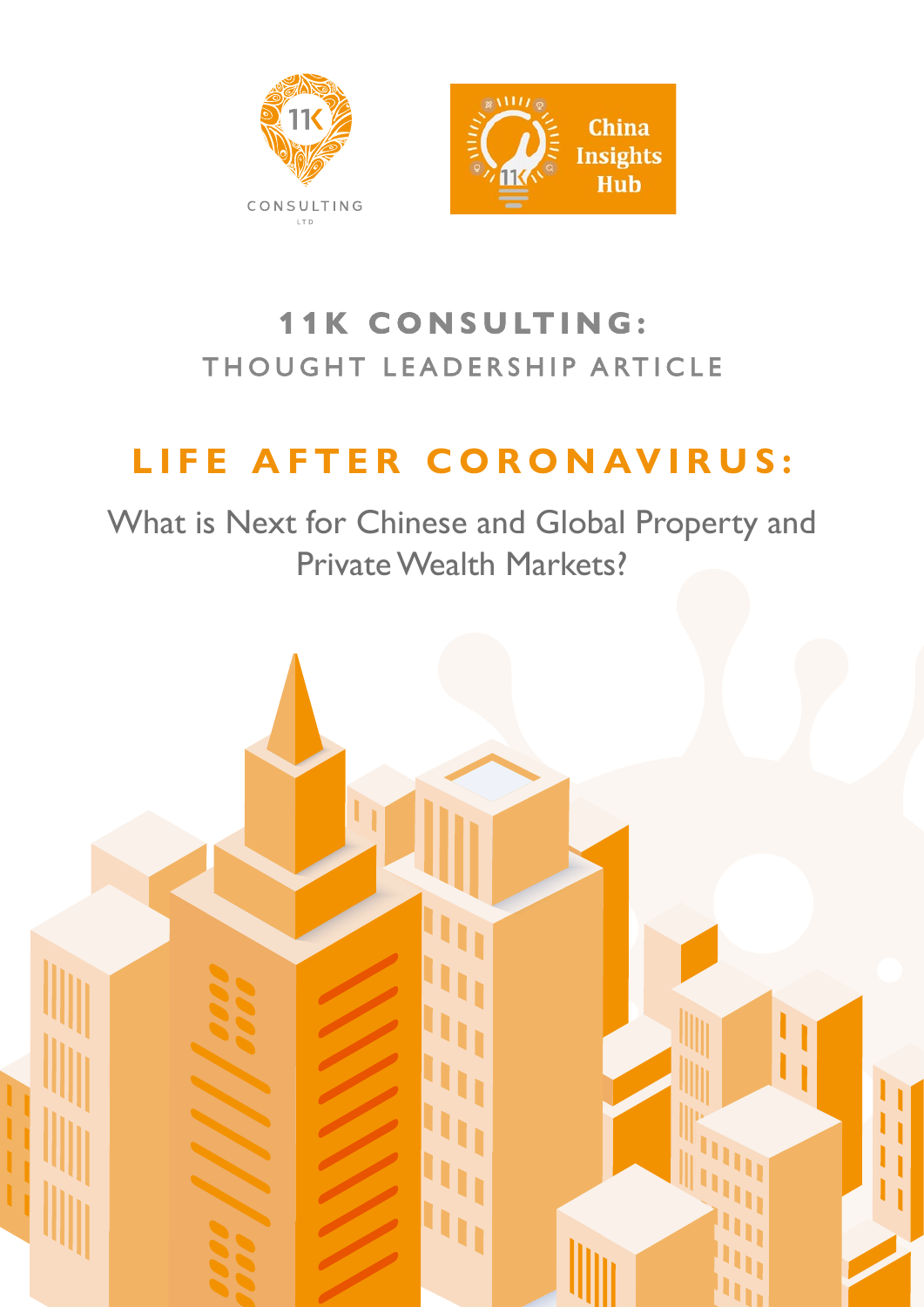

# **1 1 K CON SULTING:** THOUGHT LEADERSHIP ARTICLE

# **LIFE AFTER CORONAVIRUS:**

What is Next for Chinese and Global Property and Private Wealth Markets?

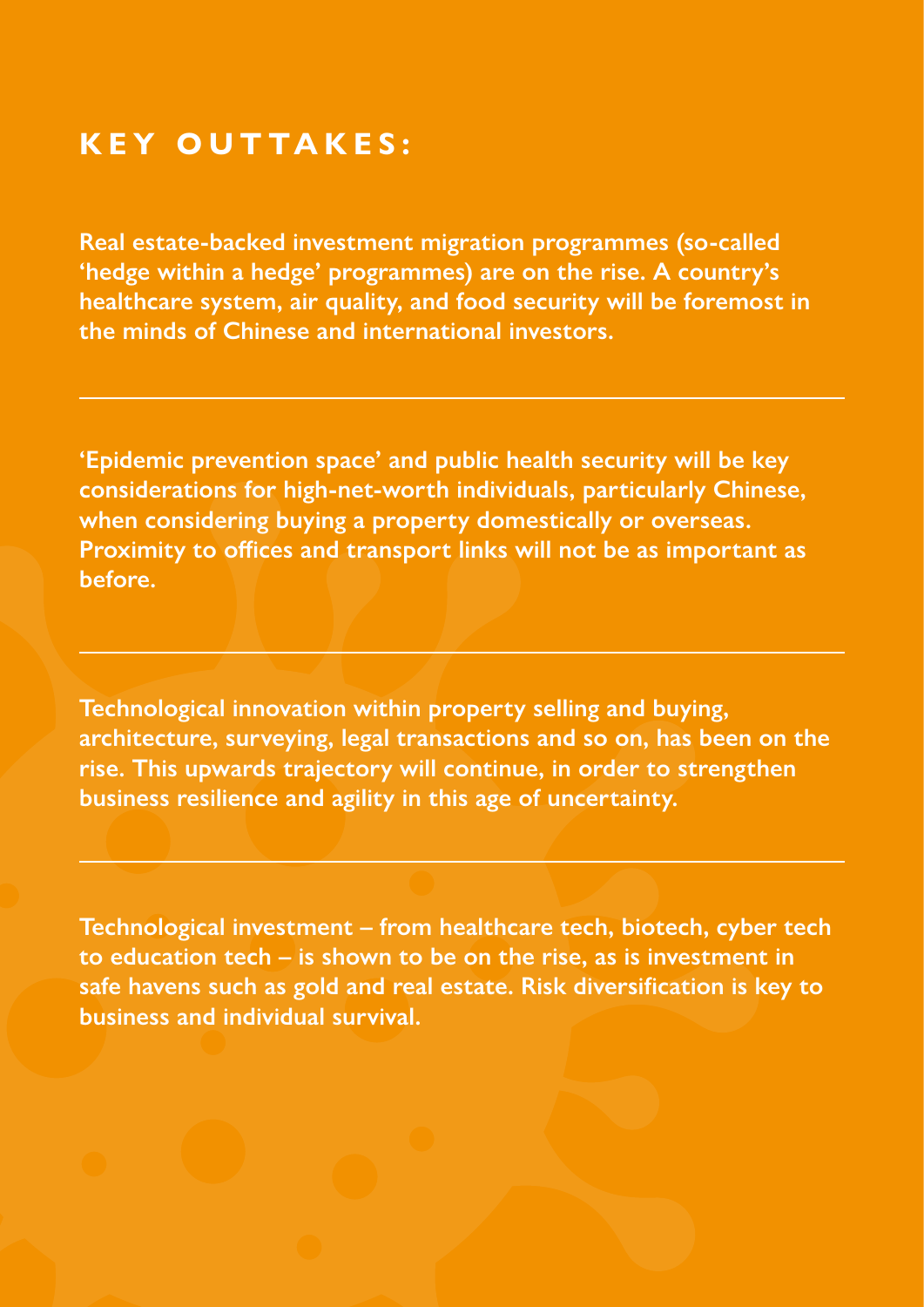## **KEY OUTTAKES:**

**Real estate-backed investment migration programmes (so-called 'hedge within a hedge' programmes) are on the rise. A country's healthcare system, air quality, and food security will be foremost in the minds of Chinese and international investors.** 

**'Epidemic prevention space' and public health security will be key considerations for high-net-worth individuals, particularly Chinese, when considering buying a property domestically or overseas. Proximity to offices and transport links will not be as important as before.**

**Technological innovation within property selling and buying, architecture, surveying, legal transactions and so on, has been on the rise. This upwards trajectory will continue, in order to strengthen business resilience and agility in this age of uncertainty.**

**Technological investment – from healthcare tech, biotech, cyber tech to education tech – is shown to be on the rise, as is investment in safe havens such as gold and real estate. Risk diversification is key to business and individual survival.**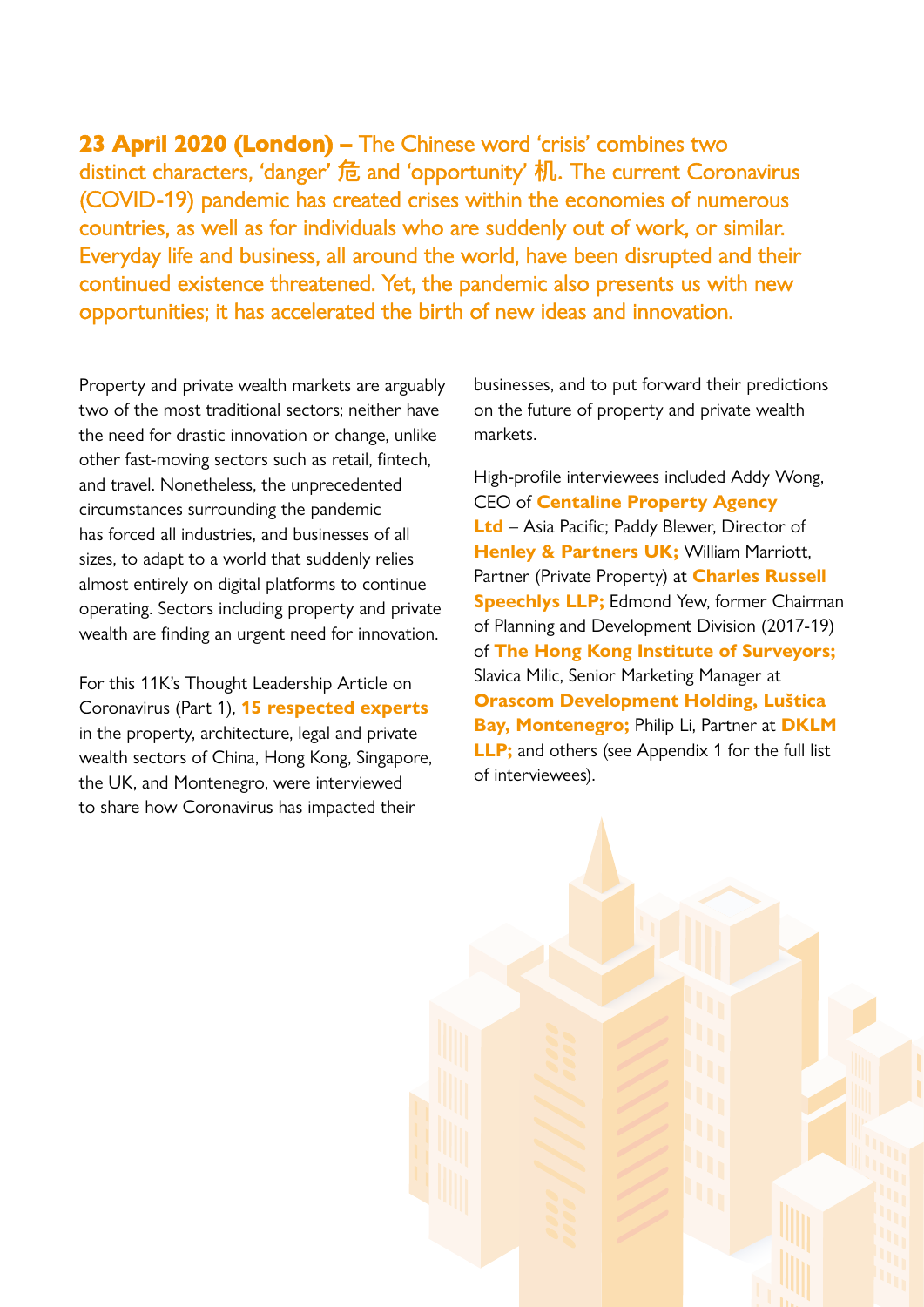**23 April 2020 (London) –** The Chinese word 'crisis' combines two distinct characters, 'danger' 危 and 'opportunity' 机. The current Coronavirus (COVID-19) pandemic has created crises within the economies of numerous countries, as well as for individuals who are suddenly out of work, or similar. Everyday life and business, all around the world, have been disrupted and their continued existence threatened. Yet, the pandemic also presents us with new opportunities; it has accelerated the birth of new ideas and innovation.

Property and private wealth markets are arguably two of the most traditional sectors; neither have the need for drastic innovation or change, unlike other fast-moving sectors such as retail, fintech, and travel. Nonetheless, the unprecedented circumstances surrounding the pandemic has forced all industries, and businesses of all sizes, to adapt to a world that suddenly relies almost entirely on digital platforms to continue operating. Sectors including property and private wealth are finding an urgent need for innovation.

For this 11K's Thought Leadership Article on Coronavirus (Part 1), **15 respected experts**  in the property, architecture, legal and private wealth sectors of China, Hong Kong, Singapore, the UK, and Montenegro, were interviewed to share how Coronavirus has impacted their

businesses, and to put forward their predictions on the future of property and private wealth markets.

High-profile interviewees included Addy Wong, CEO of **Centaline Property Agency Ltd** – Asia Pacific; Paddy Blewer, Director of **Henley & Partners UK; William Marriott,** Partner (Private Property) at **Charles Russell Speechlys LLP;** Edmond Yew, former Chairman of Planning and Development Division (2017-19) of **The Hong Kong Institute of Surveyors;**  Slavica Milic, Senior Marketing Manager at **Orascom Development Holding, Luštica Bay, Montenegro;** Philip Li, Partner at **DKLM LLP**; and others (see Appendix 1 for the full list of interviewees).

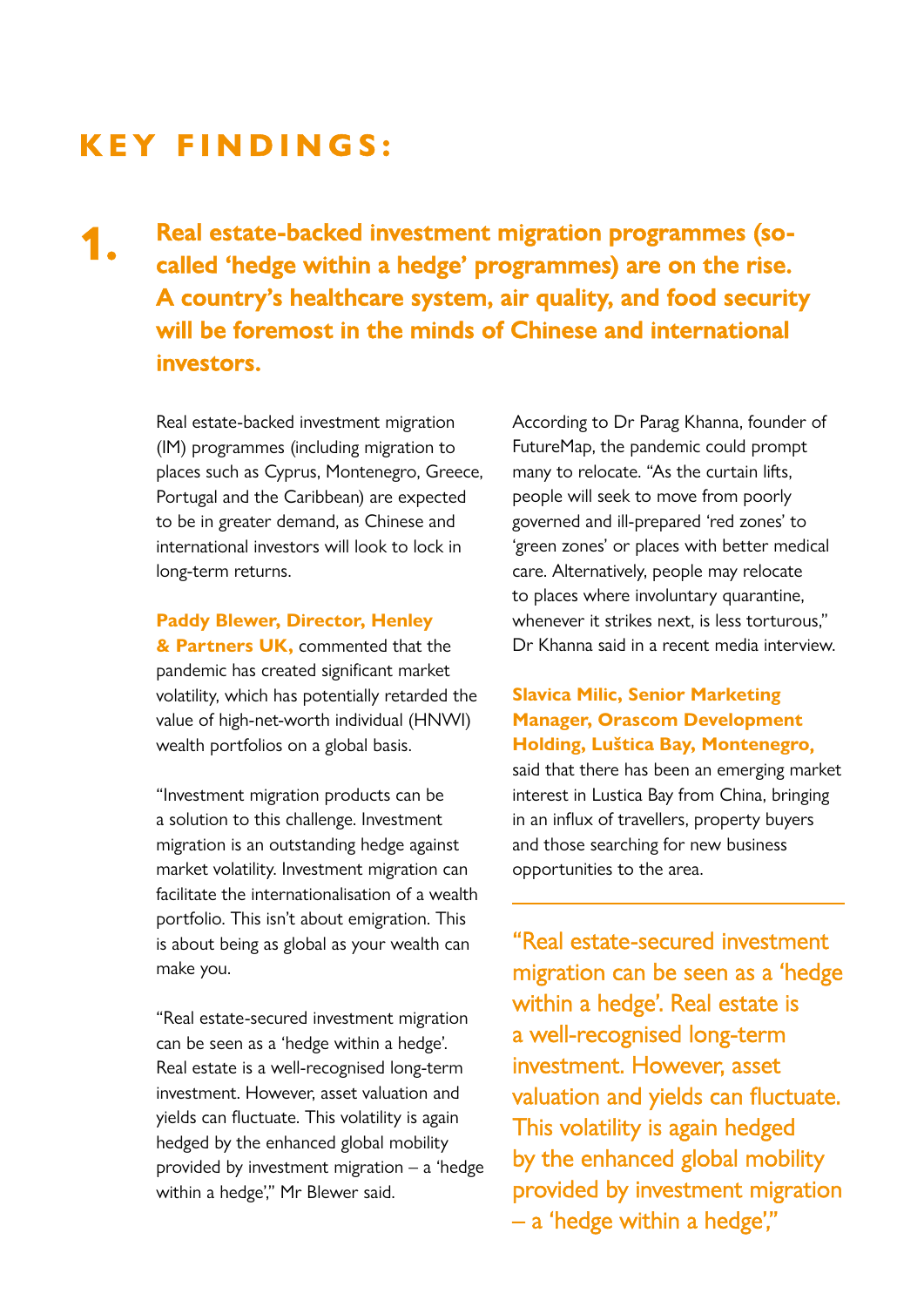# **KEY FINDINGS:**

**1.**

**Real estate-backed investment migration programmes (socalled 'hedge within a hedge' programmes) are on the rise. A country's healthcare system, air quality, and food security will be foremost in the minds of Chinese and international investors.**

Real estate-backed investment migration (IM) programmes (including migration to places such as Cyprus, Montenegro, Greece, Portugal and the Caribbean) are expected to be in greater demand, as Chinese and international investors will look to lock in long-term returns.

#### **Paddy Blewer, Director, Henley**

**& Partners UK,** commented that the pandemic has created significant market volatility, which has potentially retarded the value of high-net-worth individual (HNWI) wealth portfolios on a global basis.

"Investment migration products can be a solution to this challenge. Investment migration is an outstanding hedge against market volatility. Investment migration can facilitate the internationalisation of a wealth portfolio. This isn't about emigration. This is about being as global as your wealth can make you.

"Real estate-secured investment migration can be seen as a 'hedge within a hedge'. Real estate is a well-recognised long-term investment. However, asset valuation and yields can fluctuate. This volatility is again hedged by the enhanced global mobility provided by investment migration – a 'hedge within a hedge'," Mr Blewer said.

According to Dr Parag Khanna, founder of FutureMap, the pandemic could prompt many to relocate. "As the curtain lifts, people will seek to move from poorly governed and ill-prepared 'red zones' to 'green zones' or places with better medical care. Alternatively, people may relocate to places where involuntary quarantine, whenever it strikes next, is less torturous," Dr Khanna said in a recent media interview.

#### **Slavica Milic, Senior Marketing Manager, Orascom Development Holding, Luštica Bay, Montenegro,**

said that there has been an emerging market interest in Lustica Bay from China, bringing in an influx of travellers, property buyers and those searching for new business opportunities to the area.

"Real estate-secured investment migration can be seen as a 'hedge within a hedge'. Real estate is a well-recognised long-term investment. However, asset valuation and yields can fluctuate. This volatility is again hedged by the enhanced global mobility provided by investment migration – a 'hedge within a hedge',"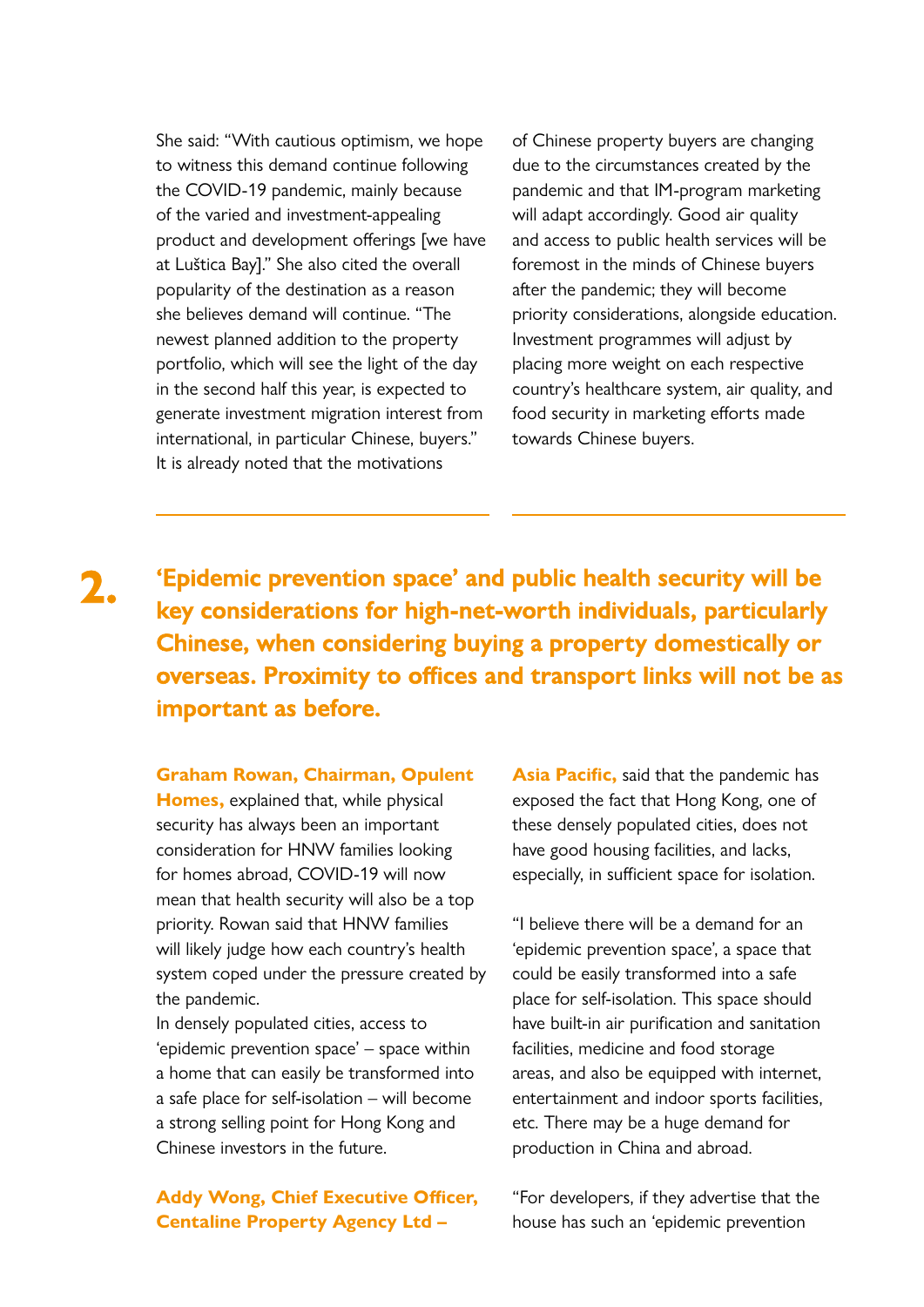She said: "With cautious optimism, we hope to witness this demand continue following the COVID-19 pandemic, mainly because of the varied and investment-appealing product and development offerings [we have at Luštica Bay]." She also cited the overall popularity of the destination as a reason she believes demand will continue. "The newest planned addition to the property portfolio, which will see the light of the day in the second half this year, is expected to generate investment migration interest from international, in particular Chinese, buyers." It is already noted that the motivations

of Chinese property buyers are changing due to the circumstances created by the pandemic and that IM-program marketing will adapt accordingly. Good air quality and access to public health services will be foremost in the minds of Chinese buyers after the pandemic; they will become priority considerations, alongside education. Investment programmes will adjust by placing more weight on each respective country's healthcare system, air quality, and food security in marketing efforts made towards Chinese buyers.

**'Epidemic prevention space' and public health security will be key considerations for high-net-worth individuals, particularly Chinese, when considering buying a property domestically or overseas. Proximity to offices and transport links will not be as important as before. 2.**

#### **Graham Rowan, Chairman, Opulent**

**Homes,** explained that, while physical security has always been an important consideration for HNW families looking for homes abroad, COVID-19 will now mean that health security will also be a top priority. Rowan said that HNW families will likely judge how each country's health system coped under the pressure created by the pandemic.

In densely populated cities, access to 'epidemic prevention space' – space within a home that can easily be transformed into a safe place for self-isolation – will become a strong selling point for Hong Kong and Chinese investors in the future.

**Addy Wong, Chief Executive Officer, Centaline Property Agency Ltd –** 

**Asia Pacific,** said that the pandemic has exposed the fact that Hong Kong, one of these densely populated cities, does not have good housing facilities, and lacks, especially, in sufficient space for isolation.

"I believe there will be a demand for an 'epidemic prevention space', a space that could be easily transformed into a safe place for self-isolation. This space should have built-in air purification and sanitation facilities, medicine and food storage areas, and also be equipped with internet, entertainment and indoor sports facilities, etc. There may be a huge demand for production in China and abroad.

"For developers, if they advertise that the house has such an 'epidemic prevention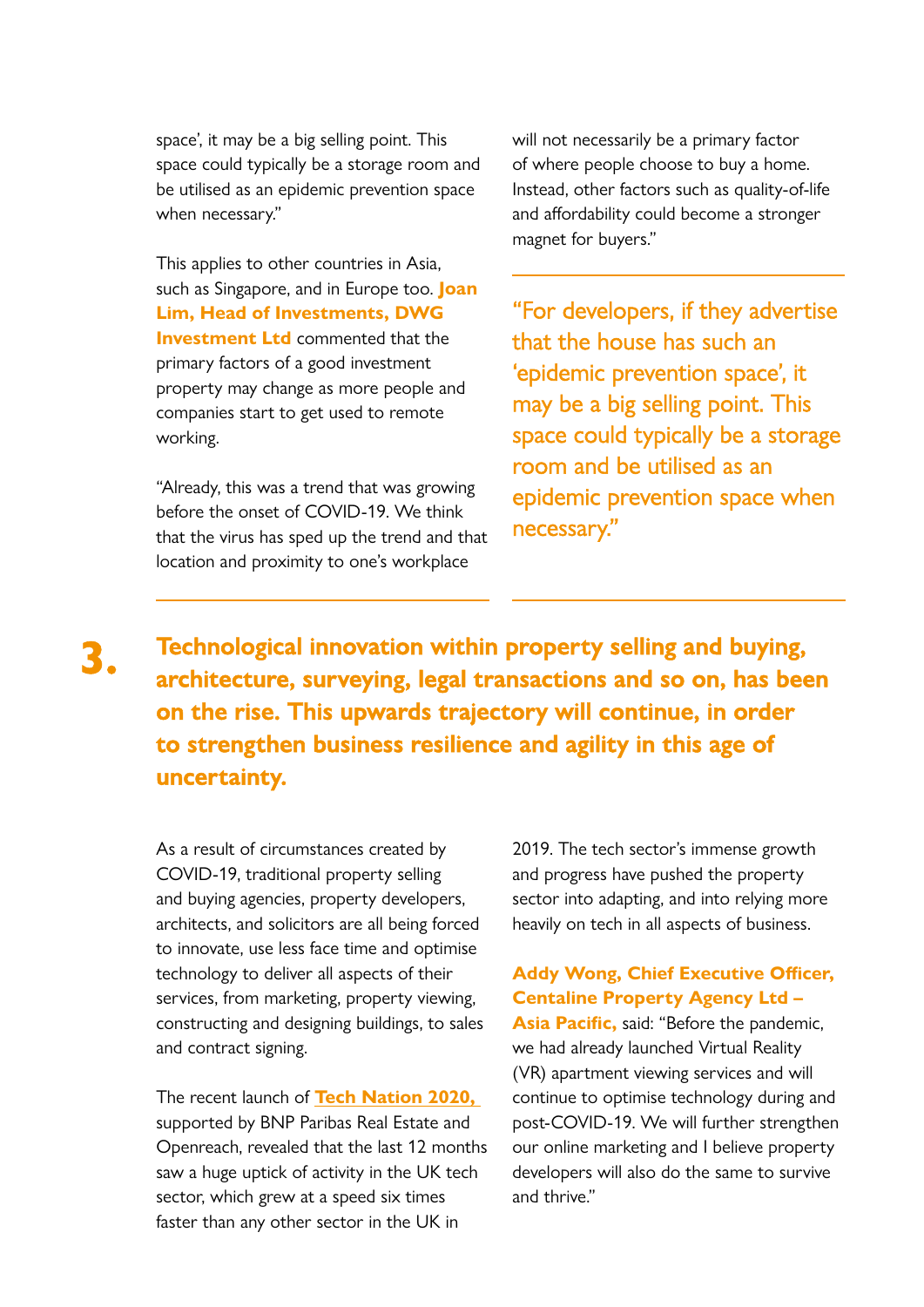space', it may be a big selling point. This space could typically be a storage room and be utilised as an epidemic prevention space when necessary."

This applies to other countries in Asia, such as Singapore, and in Europe too. **Joan Lim, Head of Investments, DWG Investment Ltd** commented that the primary factors of a good investment property may change as more people and companies start to get used to remote working.

"Already, this was a trend that was growing before the onset of COVID-19. We think that the virus has sped up the trend and that location and proximity to one's workplace

will not necessarily be a primary factor of where people choose to buy a home. Instead, other factors such as quality-of-life and affordability could become a stronger magnet for buyers."

"For developers, if they advertise that the house has such an 'epidemic prevention space', it may be a big selling point. This space could typically be a storage room and be utilised as an epidemic prevention space when necessary."

**3.**

**Technological innovation within property selling and buying, architecture, surveying, legal transactions and so on, has been on the rise. This upwards trajectory will continue, in order to strengthen business resilience and agility in this age of uncertainty.**

As a result of circumstances created by COVID-19, traditional property selling and buying agencies, property developers, architects, and solicitors are all being forced to innovate, use less face time and optimise technology to deliver all aspects of their services, from marketing, property viewing, constructing and designing buildings, to sales and contract signing.

The recent launch of **[Tech Nation 2020,](https://technation.io/report2020/)**  supported by BNP Paribas Real Estate and Openreach, revealed that the last 12 months saw a huge uptick of activity in the UK tech sector, which grew at a speed six times faster than any other sector in the UK in

2019. The tech sector's immense growth and progress have pushed the property sector into adapting, and into relying more heavily on tech in all aspects of business.

#### **Addy Wong, Chief Executive Officer, Centaline Property Agency Ltd – Asia Pacific,** said: "Before the pandemic, we had already launched Virtual Reality

(VR) apartment viewing services and will continue to optimise technology during and post-COVID-19. We will further strengthen our online marketing and I believe property developers will also do the same to survive and thrive."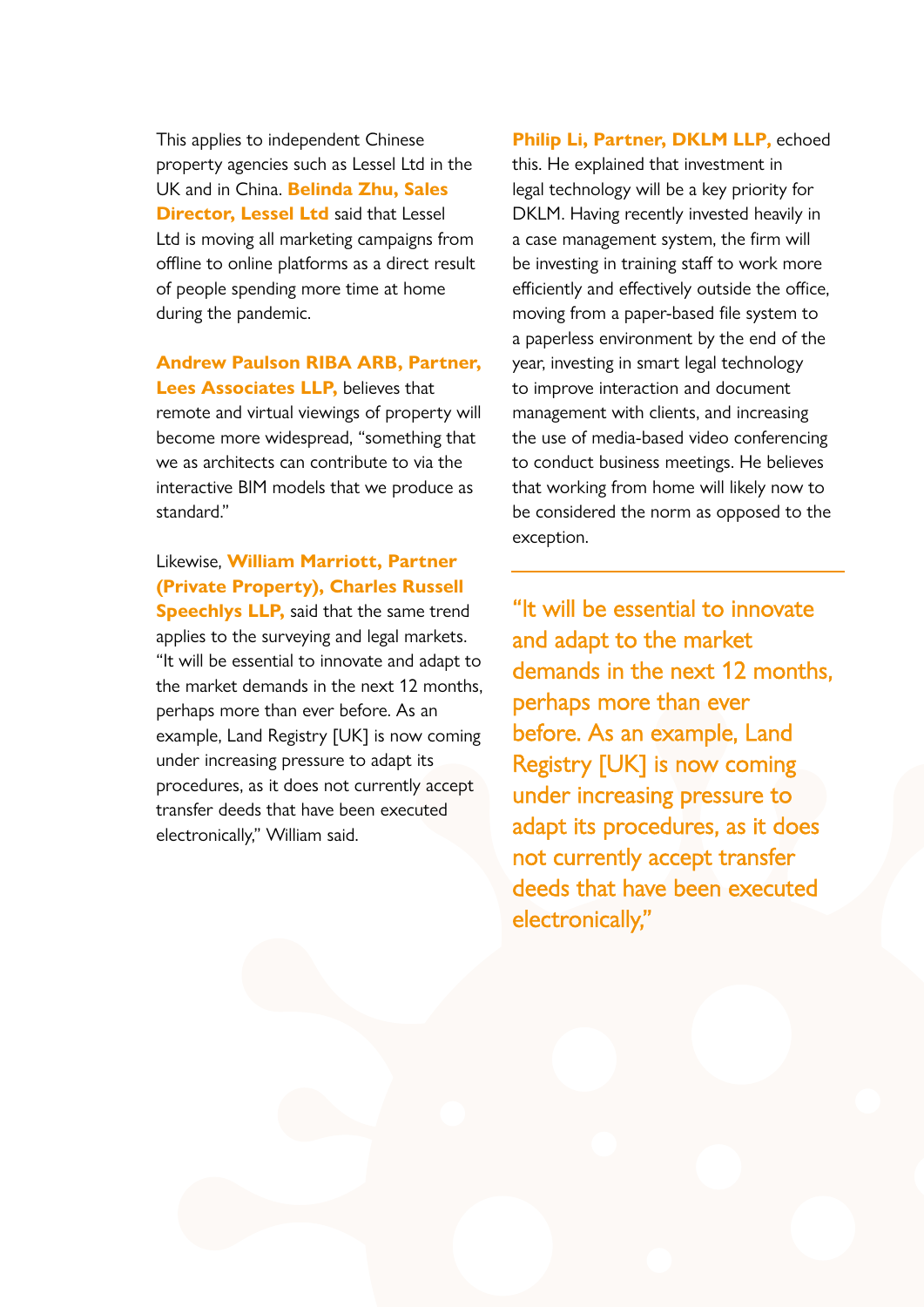This applies to independent Chinese property agencies such as Lessel Ltd in the UK and in China. **Belinda Zhu, Sales Director, Lessel Ltd** said that Lessel Ltd is moving all marketing campaigns from offline to online platforms as a direct result of people spending more time at home during the pandemic.

#### **Andrew Paulson RIBA ARB, Partner,**

**Lees Associates LLP,** believes that remote and virtual viewings of property will become more widespread, "something that we as architects can contribute to via the interactive BIM models that we produce as standard."

#### Likewise, **William Marriott, Partner (Private Property), Charles Russell**

**Speechlys LLP, said that the same trend** applies to the surveying and legal markets. "It will be essential to innovate and adapt to the market demands in the next 12 months, perhaps more than ever before. As an example, Land Registry [UK] is now coming under increasing pressure to adapt its procedures, as it does not currently accept transfer deeds that have been executed electronically," William said.

#### **Philip Li, Partner, DKLM LLP,** echoed

this. He explained that investment in legal technology will be a key priority for DKLM. Having recently invested heavily in a case management system, the firm will be investing in training staff to work more efficiently and effectively outside the office, moving from a paper-based file system to a paperless environment by the end of the year, investing in smart legal technology to improve interaction and document management with clients, and increasing the use of media-based video conferencing to conduct business meetings. He believes that working from home will likely now to be considered the norm as opposed to the exception.

"It will be essential to innovate and adapt to the market demands in the next 12 months, perhaps more than ever before. As an example, Land Registry [UK] is now coming under increasing pressure to adapt its procedures, as it does not currently accept transfer deeds that have been executed electronically,"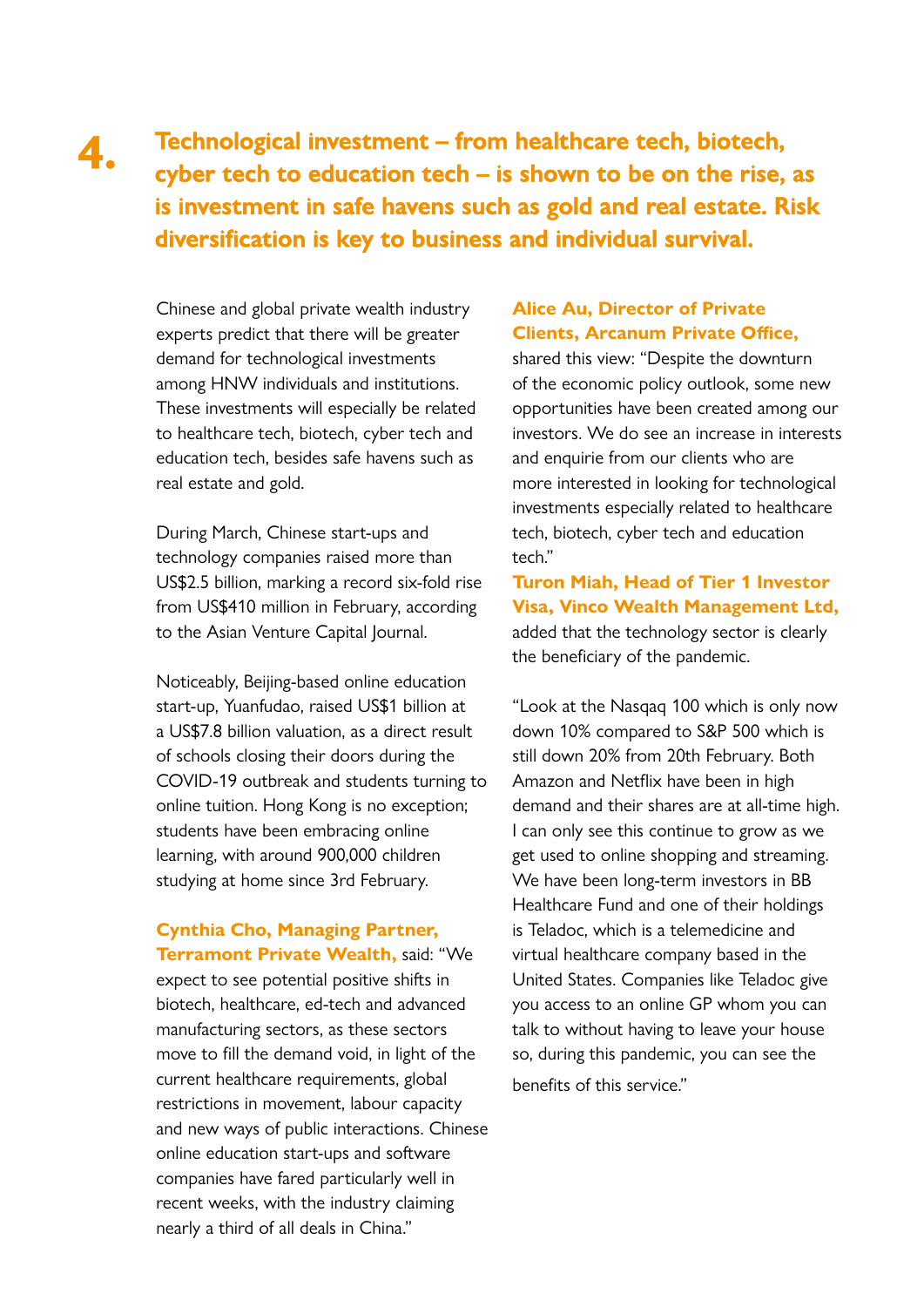#### **Technological investment – from healthcare tech, biotech, cyber tech to education tech – is shown to be on the rise, as is investment in safe havens such as gold and real estate. Risk diversification is key to business and individual survival. 4.**

Chinese and global private wealth industry experts predict that there will be greater demand for technological investments among HNW individuals and institutions. These investments will especially be related to healthcare tech, biotech, cyber tech and education tech, besides safe havens such as real estate and gold.

During March, Chinese start-ups and technology companies raised more than US\$2.5 billion, marking a record six-fold rise from US\$410 million in February, according to the Asian Venture Capital Journal.

Noticeably, Beijing-based online education start-up, Yuanfudao, raised US\$1 billion at a US\$7.8 billion valuation, as a direct result of schools closing their doors during the COVID-19 outbreak and students turning to online tuition. Hong Kong is no exception; students have been embracing online learning, with around 900,000 children studying at home since 3rd February.

#### **Cynthia Cho, Managing Partner, Terramont Private Wealth,** said: "We

expect to see potential positive shifts in biotech, healthcare, ed-tech and advanced manufacturing sectors, as these sectors move to fill the demand void, in light of the current healthcare requirements, global restrictions in movement, labour capacity and new ways of public interactions. Chinese online education start-ups and software companies have fared particularly well in recent weeks, with the industry claiming nearly a third of all deals in China."

#### **Alice Au, Director of Private Clients, Arcanum Private Office,**

shared this view: "Despite the downturn of the economic policy outlook, some new opportunities have been created among our investors. We do see an increase in interests and enquirie from our clients who are more interested in looking for technological investments especially related to healthcare tech, biotech, cyber tech and education tech."

**Turon Miah, Head of Tier 1 Investor Visa, Vinco Wealth Management Ltd,** added that the technology sector is clearly the beneficiary of the pandemic.

"Look at the Nasqaq 100 which is only now down 10% compared to S&P 500 which is still down 20% from 20th February. Both Amazon and Netflix have been in high demand and their shares are at all-time high. I can only see this continue to grow as we get used to online shopping and streaming. We have been long-term investors in BB Healthcare Fund and one of their holdings is Teladoc, which is a telemedicine and virtual healthcare company based in the United States. Companies like Teladoc give you access to an online GP whom you can talk to without having to leave your house so, during this pandemic, you can see the benefits of this service."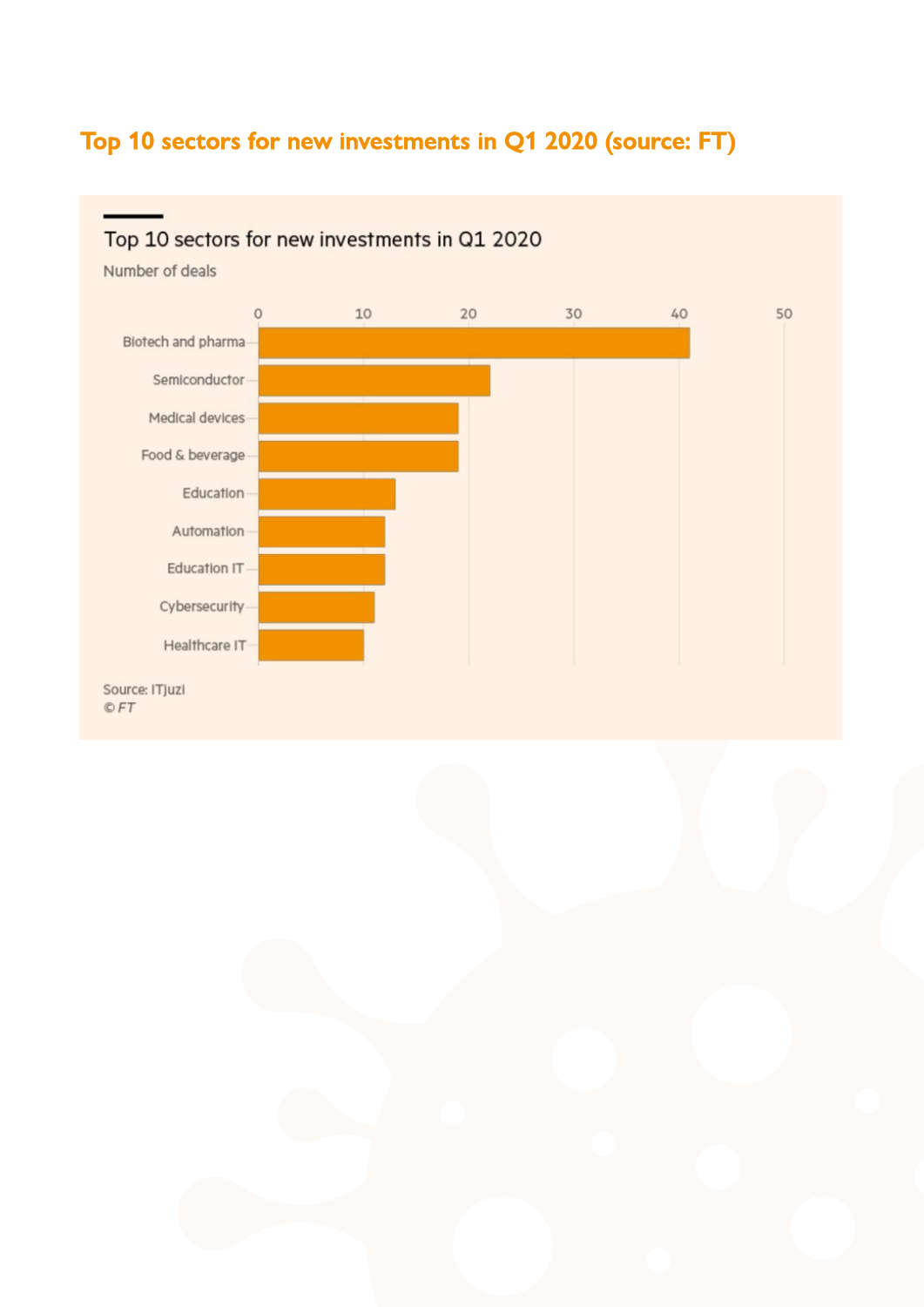### **Top 10 sectors for new investments in Q1 2020 (source: FT)**

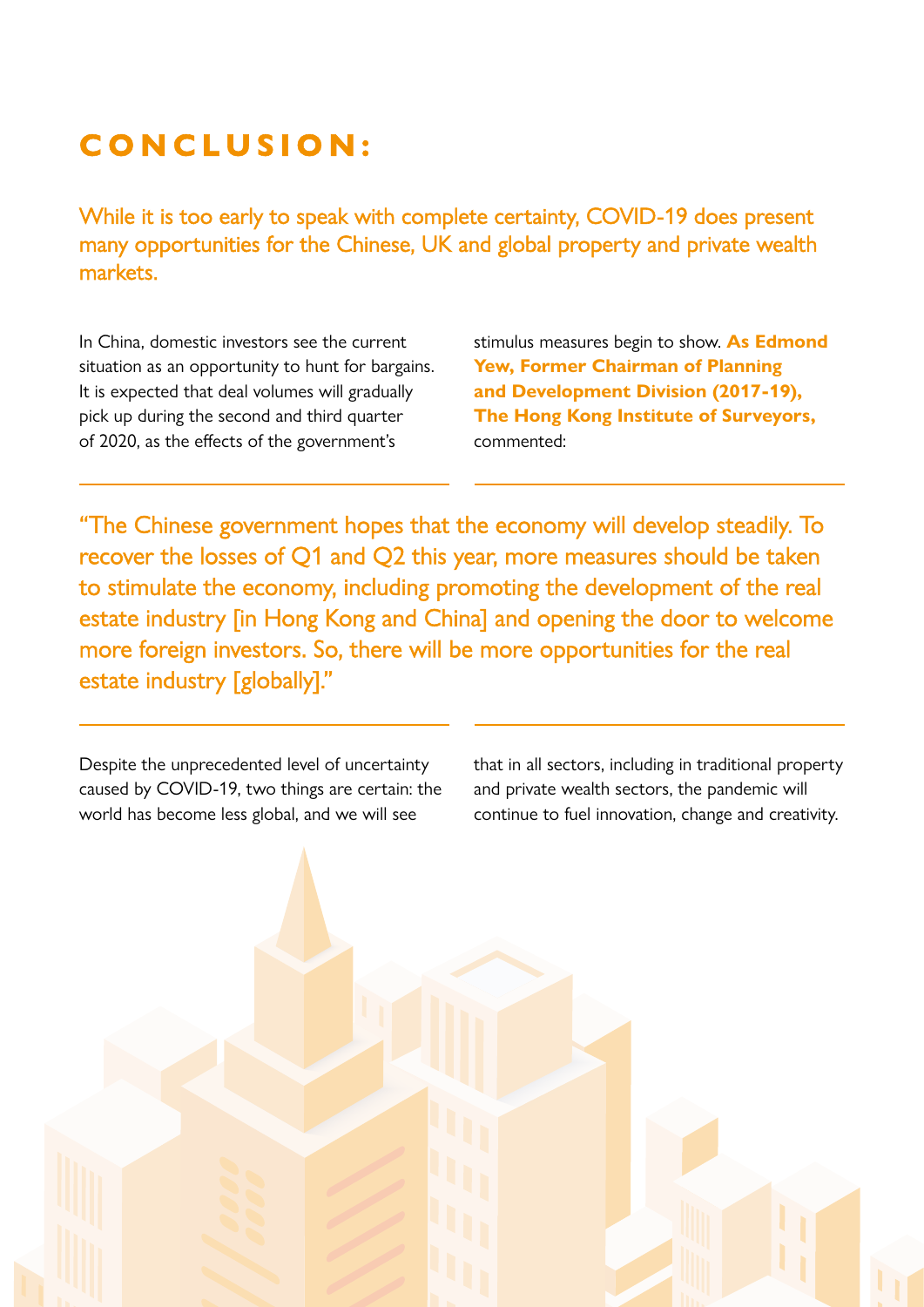# **CONCLUSION:**

While it is too early to speak with complete certainty, COVID-19 does present many opportunities for the Chinese, UK and global property and private wealth markets.

In China, domestic investors see the current situation as an opportunity to hunt for bargains. It is expected that deal volumes will gradually pick up during the second and third quarter of 2020, as the effects of the government's

stimulus measures begin to show. **As Edmond Yew, Former Chairman of Planning and Development Division (2017-19), The Hong Kong Institute of Surveyors,**  commented:

"The Chinese government hopes that the economy will develop steadily. To recover the losses of Q1 and Q2 this year, more measures should be taken to stimulate the economy, including promoting the development of the real estate industry [in Hong Kong and China] and opening the door to welcome more foreign investors. So, there will be more opportunities for the real estate industry [globally]."

Despite the unprecedented level of uncertainty caused by COVID-19, two things are certain: the world has become less global, and we will see

that in all sectors, including in traditional property and private wealth sectors, the pandemic will continue to fuel innovation, change and creativity.

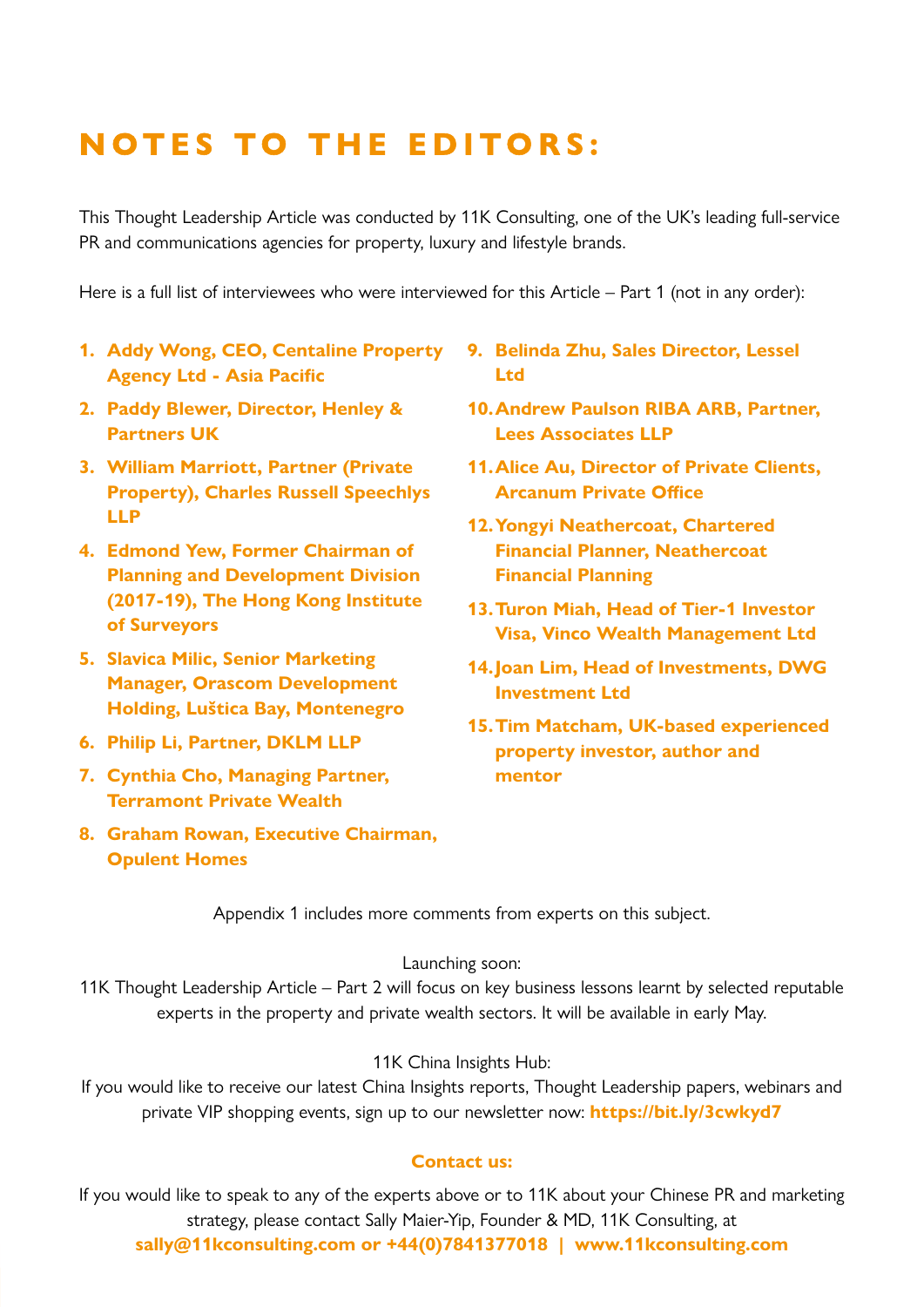# **NOTES TO THE EDITORS:**

This Thought Leadership Article was conducted by 11K Consulting, one of the UK's leading full-service PR and communications agencies for property, luxury and lifestyle brands.

Here is a full list of interviewees who were interviewed for this Article – Part 1 (not in any order):

- **1. Addy Wong, CEO, Centaline Property Agency Ltd - Asia Pacific**
- **2. Paddy Blewer, Director, Henley & Partners UK**
- **3. William Marriott, Partner (Private Property), Charles Russell Speechlys LLP**
- **4. Edmond Yew, Former Chairman of Planning and Development Division (2017-19), The Hong Kong Institute of Surveyors**
- **5. Slavica Milic, Senior Marketing Manager, Orascom Development Holding, Luštica Bay, Montenegro**
- **6. Philip Li, Partner, DKLM LLP**
- **7. Cynthia Cho, Managing Partner, Terramont Private Wealth**
- **8. Graham Rowan, Executive Chairman, Opulent Homes**
- **9. Belinda Zhu, Sales Director, Lessel Ltd**
- **10.Andrew Paulson RIBA ARB, Partner, Lees Associates LLP**
- **11.Alice Au, Director of Private Clients, Arcanum Private Office**
- **12.Yongyi Neathercoat, Chartered Financial Planner, Neathercoat Financial Planning**
- **13.Turon Miah, Head of Tier-1 Investor Visa, Vinco Wealth Management Ltd**
- **14.Joan Lim, Head of Investments, DWG Investment Ltd**
- **15.Tim Matcham, UK-based experienced property investor, author and mentor**

Appendix 1 includes more comments from experts on this subject.

#### Launching soon:

11K Thought Leadership Article – Part 2 will focus on key business lessons learnt by selected reputable experts in the property and private wealth sectors. It will be available in early May.

#### 11K China Insights Hub:

If you would like to receive our latest China Insights reports, Thought Leadership papers, webinars and private VIP shopping events, sign up to our newsletter now: **https://bit.ly/3cwkyd7** 

#### **Contact us:**

If you would like to speak to any of the experts above or to 11K about your Chinese PR and marketing strategy, please contact Sally Maier-Yip, Founder & MD, 11K Consulting, at **sally@11kconsulting.com or +44(0)7841377018 | www.11kconsulting.com**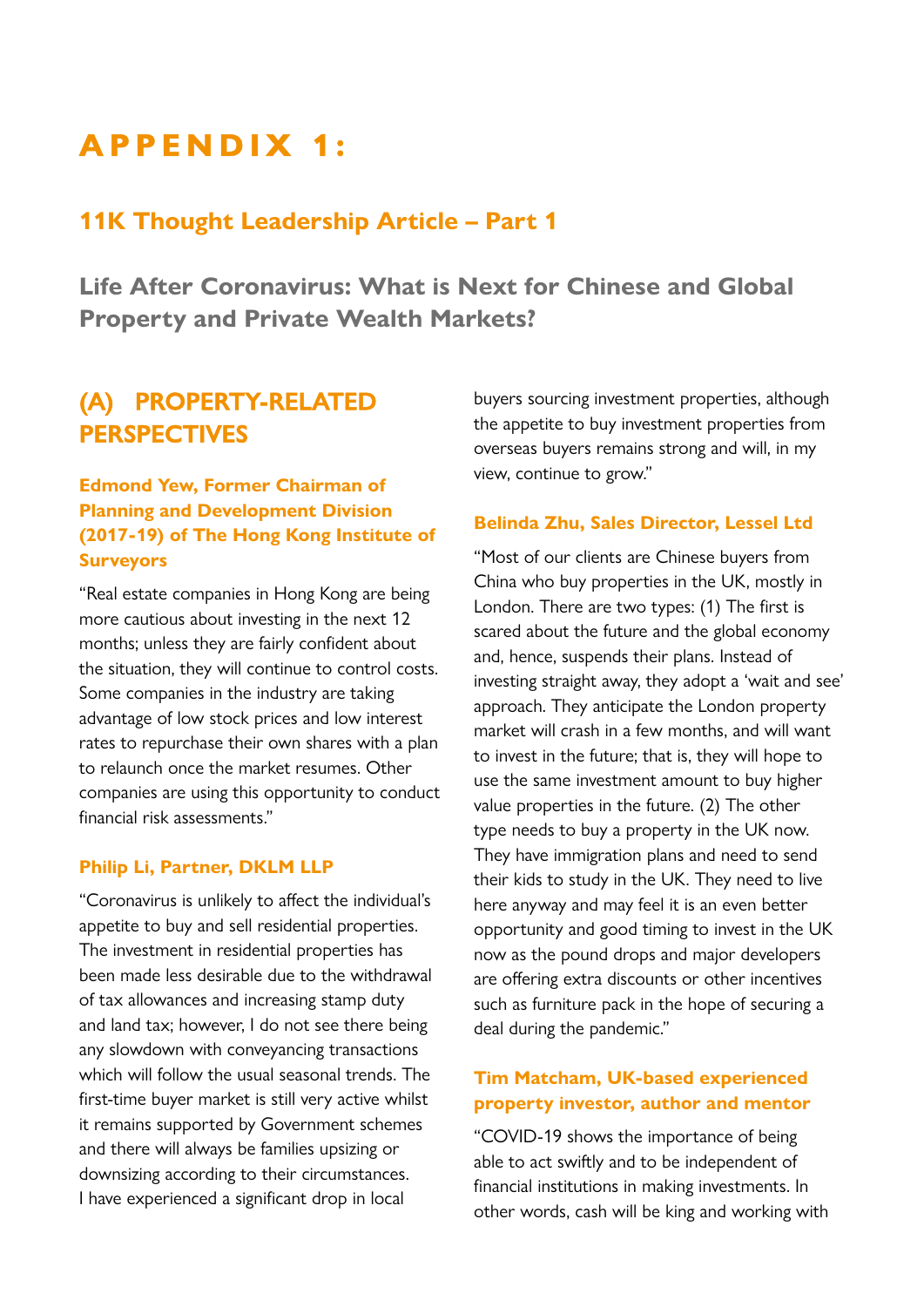# **APPENDIX 1:**

### **11K Thought Leadership Article – Part 1**

**Life After Coronavirus: What is Next for Chinese and Global Property and Private Wealth Markets?**

### **(A) PROPERTY-RELATED PERSPECTIVES**

#### **Edmond Yew, Former Chairman of Planning and Development Division (2017-19) of The Hong Kong Institute of Surveyors**

"Real estate companies in Hong Kong are being more cautious about investing in the next 12 months; unless they are fairly confident about the situation, they will continue to control costs. Some companies in the industry are taking advantage of low stock prices and low interest rates to repurchase their own shares with a plan to relaunch once the market resumes. Other companies are using this opportunity to conduct financial risk assessments."

#### **Philip Li, Partner, DKLM LLP**

"Coronavirus is unlikely to affect the individual's appetite to buy and sell residential properties. The investment in residential properties has been made less desirable due to the withdrawal of tax allowances and increasing stamp duty and land tax; however, I do not see there being any slowdown with conveyancing transactions which will follow the usual seasonal trends. The first-time buyer market is still very active whilst it remains supported by Government schemes and there will always be families upsizing or downsizing according to their circumstances. I have experienced a significant drop in local

buyers sourcing investment properties, although the appetite to buy investment properties from overseas buyers remains strong and will, in my view, continue to grow."

#### **Belinda Zhu, Sales Director, Lessel Ltd**

"Most of our clients are Chinese buyers from China who buy properties in the UK, mostly in London. There are two types: (1) The first is scared about the future and the global economy and, hence, suspends their plans. Instead of investing straight away, they adopt a 'wait and see' approach. They anticipate the London property market will crash in a few months, and will want to invest in the future; that is, they will hope to use the same investment amount to buy higher value properties in the future. (2) The other type needs to buy a property in the UK now. They have immigration plans and need to send their kids to study in the UK. They need to live here anyway and may feel it is an even better opportunity and good timing to invest in the UK now as the pound drops and major developers are offering extra discounts or other incentives such as furniture pack in the hope of securing a deal during the pandemic."

#### **Tim Matcham, UK-based experienced property investor, author and mentor**

"COVID-19 shows the importance of being able to act swiftly and to be independent of financial institutions in making investments. In other words, cash will be king and working with